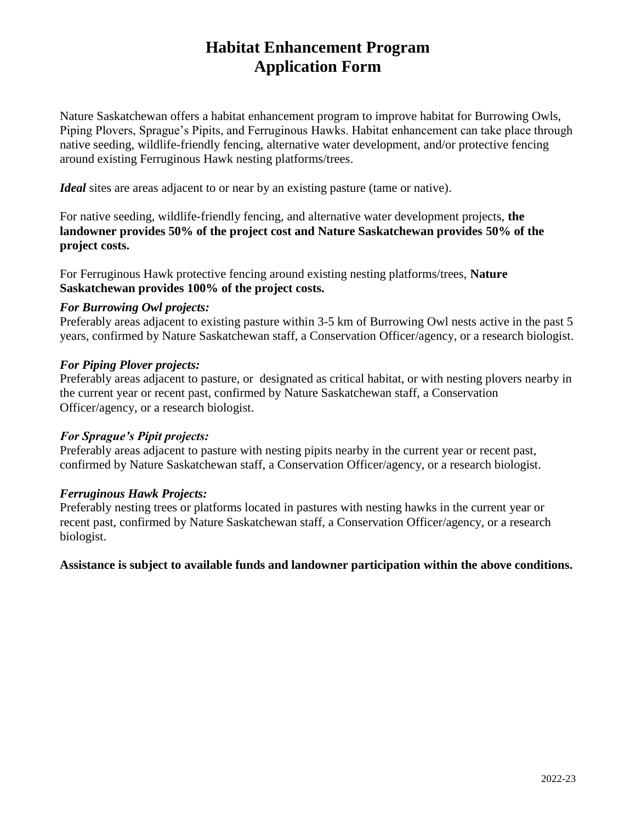# **Habitat Enhancement Program Application Form**

Nature Saskatchewan offers a habitat enhancement program to improve habitat for Burrowing Owls, Piping Plovers, Sprague's Pipits, and Ferruginous Hawks. Habitat enhancement can take place through native seeding, wildlife-friendly fencing, alternative water development, and/or protective fencing around existing Ferruginous Hawk nesting platforms/trees.

*Ideal* sites are areas adjacent to or near by an existing pasture (tame or native).

For native seeding, wildlife-friendly fencing, and alternative water development projects, **the landowner provides 50% of the project cost and Nature Saskatchewan provides 50% of the project costs.**

For Ferruginous Hawk protective fencing around existing nesting platforms/trees, **Nature Saskatchewan provides 100% of the project costs.**

#### *For Burrowing Owl projects:*

Preferably areas adjacent to existing pasture within 3-5 km of Burrowing Owl nests active in the past 5 years, confirmed by Nature Saskatchewan staff, a Conservation Officer/agency, or a research biologist.

#### *For Piping Plover projects:*

Preferably areas adjacent to pasture, or designated as critical habitat, or with nesting plovers nearby in the current year or recent past, confirmed by Nature Saskatchewan staff, a Conservation Officer/agency, or a research biologist.

## *For Sprague's Pipit projects:*

Preferably areas adjacent to pasture with nesting pipits nearby in the current year or recent past, confirmed by Nature Saskatchewan staff, a Conservation Officer/agency, or a research biologist.

## *Ferruginous Hawk Projects:*

Preferably nesting trees or platforms located in pastures with nesting hawks in the current year or recent past, confirmed by Nature Saskatchewan staff, a Conservation Officer/agency, or a research biologist.

**Assistance is subject to available funds and landowner participation within the above conditions.**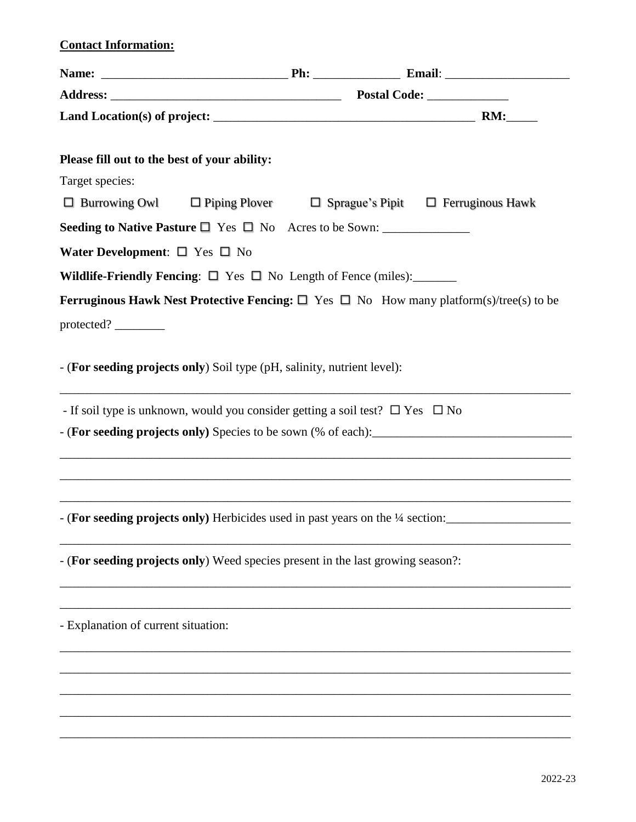## **Contact Information:**

| Please fill out to the best of your ability:                                            |  |                                                                                                   |  |
|-----------------------------------------------------------------------------------------|--|---------------------------------------------------------------------------------------------------|--|
| Target species:                                                                         |  |                                                                                                   |  |
| $\Box$ Burrowing Owl $\Box$ Piping Plover                                               |  | $\Box$ Sprague's Pipit $\Box$ Ferruginous Hawk                                                    |  |
|                                                                                         |  |                                                                                                   |  |
| Water Development: $\square$ Yes $\square$ No                                           |  |                                                                                                   |  |
| Wildlife-Friendly Fencing: $\Box$ Yes $\Box$ No Length of Fence (miles):                |  |                                                                                                   |  |
|                                                                                         |  | Ferruginous Hawk Nest Protective Fencing: $\Box$ Yes $\Box$ No How many platform(s)/tree(s) to be |  |
|                                                                                         |  |                                                                                                   |  |
|                                                                                         |  |                                                                                                   |  |
| - (For seeding projects only) Soil type (pH, salinity, nutrient level):                 |  |                                                                                                   |  |
| - If soil type is unknown, would you consider getting a soil test? $\Box$ Yes $\Box$ No |  |                                                                                                   |  |
|                                                                                         |  |                                                                                                   |  |
|                                                                                         |  |                                                                                                   |  |
|                                                                                         |  |                                                                                                   |  |
|                                                                                         |  |                                                                                                   |  |
|                                                                                         |  | - (For seeding projects only) Herbicides used in past years on the 1/4 section:                   |  |
|                                                                                         |  |                                                                                                   |  |
| - (For seeding projects only) Weed species present in the last growing season?:         |  |                                                                                                   |  |
|                                                                                         |  |                                                                                                   |  |
|                                                                                         |  |                                                                                                   |  |
| - Explanation of current situation:                                                     |  |                                                                                                   |  |
|                                                                                         |  |                                                                                                   |  |
|                                                                                         |  |                                                                                                   |  |
|                                                                                         |  |                                                                                                   |  |
|                                                                                         |  |                                                                                                   |  |

\_\_\_\_\_\_\_\_\_\_\_\_\_\_\_\_\_\_\_\_\_\_\_\_\_\_\_\_\_\_\_\_\_\_\_\_\_\_\_\_\_\_\_\_\_\_\_\_\_\_\_\_\_\_\_\_\_\_\_\_\_\_\_\_\_\_\_\_\_\_\_\_\_\_\_\_\_\_\_\_\_\_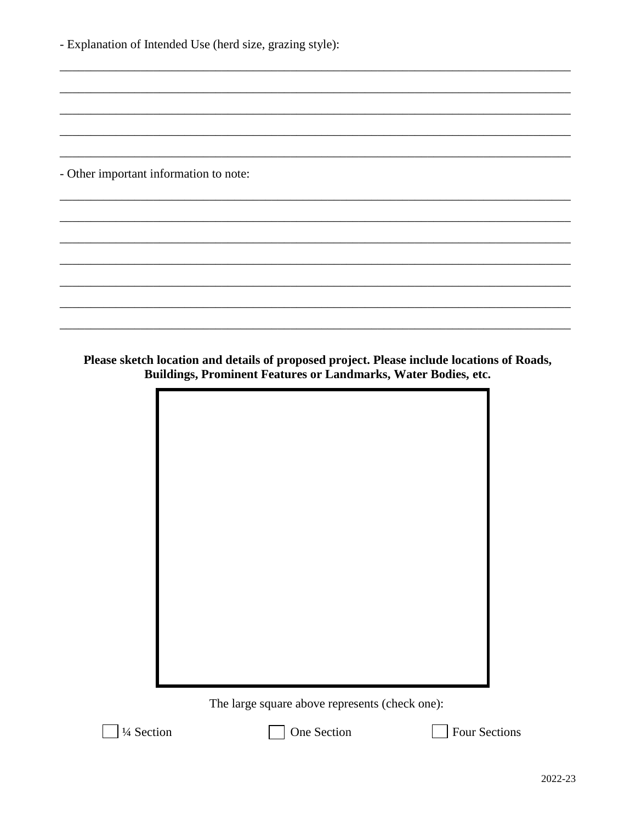| - Explanation of Intended Use (herd size, grazing style): |  |  |  |  |
|-----------------------------------------------------------|--|--|--|--|
|                                                           |  |  |  |  |
|                                                           |  |  |  |  |
|                                                           |  |  |  |  |
|                                                           |  |  |  |  |
| - Other important information to note:                    |  |  |  |  |
|                                                           |  |  |  |  |
|                                                           |  |  |  |  |
|                                                           |  |  |  |  |
|                                                           |  |  |  |  |
|                                                           |  |  |  |  |
|                                                           |  |  |  |  |
|                                                           |  |  |  |  |

Please sketch location and details of proposed project. Please include locations of Roads,<br>Buildings, Prominent Features or Landmarks, Water Bodies, etc.



The large square above represents (check one):



One Section

Four Sections